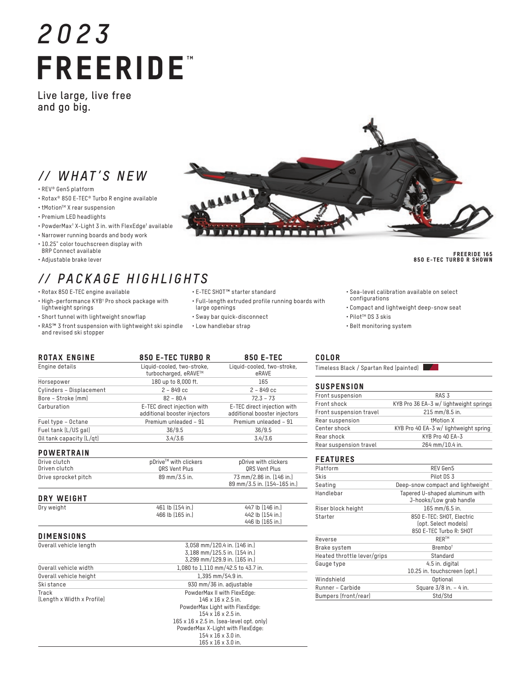# *2023* FREERIDE"

**Live large, live free and go big.**

# *// WHAT'S NEW*

- REV® Gen5 platform
- Rotax® 850 E-TEC® Turbo R engine available
- tMotionTM X rear suspension
- Premium LED headlights
- PowderMax† X-Light 3 in. with FlexEdge† available
- Narrower running boards and body work
- 10.25" color touchscreen display with BRP Connect available
- Adjustable brake lever

# *// PACKAGE HIGHLIGHTS*

- Rotax 850 E-TEC engine available
- High-performance KYB† Pro shock package with lightweight springs
- Short tunnel with lightweight snowflap
- RAS™ 3 front suspension with lightweight ski spindle and revised ski stopper
- E-TEC SHOT™ starter standard

LIBRARY

• Full-length extruded profile running boards with large openings

89 mm/3.5 in. (154–165 in.)

- Sway bar quick-disconnect
- Low handlebar strap
- Sea-level calibration available on select configurations
- Compact and lightweight deep-snow seat
- Pilot™ DS 3 skis
- Belt monitoring system

| <b>ROTAX ENGINE</b>           | <b>850 E-TEC TURBO R</b>                                    | <b>850 E-TEC</b>                                            |  |
|-------------------------------|-------------------------------------------------------------|-------------------------------------------------------------|--|
| Engine details                | Liquid-cooled, two-stroke,<br>turbocharged, eRAVE™          | Liquid-cooled, two-stroke,<br>eRAVE                         |  |
| Horsepower                    | 180 up to 8,000 ft.                                         | 165                                                         |  |
| Cylinders - Displacement      | $2 - 849$ cc                                                | $2 - 849$ cc                                                |  |
| Bore - Stroke [mm]            | $82 - 80.4$                                                 | $72.3 - 73$                                                 |  |
| Carburation                   | E-TEC direct injection with<br>additional booster injectors | E-TEC direct injection with<br>additional booster injectors |  |
| Fuel type - Octane            | Premium unleaded - 91                                       | Premium unleaded - 91                                       |  |
| Fuel tank (L/US gal)          | 36/9.5                                                      | 36/9.5                                                      |  |
| Oil tank capacity (L/qt)      | 3.4/3.6                                                     | 3.4/3.6                                                     |  |
| <b>POWERTRAIN</b>             |                                                             |                                                             |  |
| Drive clutch<br>Driven clutch | pDrive™ with clickers<br><b>QRS Vent Plus</b>               | pDrive with clickers<br>QRS Vent Plus                       |  |
| Drive sprocket pitch          | 89 mm/3.5 in.                                               | 73 mm/2.86 in. [146 in.]                                    |  |

## DRY WEIGHT

| PNI WEIVILI |                  |                  |
|-------------|------------------|------------------|
| Dry weight  | 461 lb (154 in.) | 447 lb (146 in.) |
|             | 466 lb (165 in.) | 442 lb (154 in.) |
|             |                  | 446 lb (165 in.) |

| Overall vehicle length     | 3.058 mm/120.4 in. (146 in.)                         |
|----------------------------|------------------------------------------------------|
|                            | 3,188 mm/125.5 in. [154 in.]                         |
|                            | 3,299 mm/129.9 in. [165 in.]                         |
| Overall vehicle width      | 1.080 to 1.110 mm/42.5 to 43.7 in.                   |
| Overall vehicle height     | 1.395 mm/54.9 in.                                    |
| Ski stance                 | 930 mm/36 in. adjustable                             |
| Track                      | PowderMax II with FlexEdge:                          |
| (Length x Width x Profile) | $146 \times 16 \times 2.5$ in.                       |
|                            | PowderMax Light with FlexEdge:                       |
|                            | $154 \times 16 \times 2.5$ in.                       |
|                            | $165 \times 16 \times 2.5$ in. (sea-level opt. only) |
|                            | PowderMax X-Light with FlexEdge:                     |
|                            | $154 \times 16 \times 3.0$ in.                       |
|                            | $165 \times 16 \times 3.0$ in.                       |

## COLOR

Timeless Black / Spartan Red (painted)

#### **SUSPENSION**

| Front suspension        | RAS <sub>3</sub>                       |
|-------------------------|----------------------------------------|
| Front shock             | KYB Pro 36 EA-3 w/ lightweight springs |
| Front suspension travel | 215 mm/8.5 in.                         |
| Rear suspension         | <b>tMotion X</b>                       |
| Center shock            | KYB Pro 40 EA-3 w/ lightweight spring  |
| Rear shock              | KYB Pro 40 EA-3                        |
| Rear suspension travel  | 264 mm/10.4 in.                        |

## FEATURES

| Platform                    | REV Gen5                                                                     |
|-----------------------------|------------------------------------------------------------------------------|
| Skis                        | Pilot DS 3                                                                   |
| Seating                     | Deep-snow compact and lightweight                                            |
| Handlebar                   | Tapered U-shaped aluminum with<br>J-hooks/Low grab handle                    |
| Riser block height          | 165 mm/6.5 in.                                                               |
| Starter                     | 850 E-TEC: SHOT, Electric<br>(opt. Select models)<br>850 E-TEC Turbo R: SHOT |
| Reverse                     | <b>RER™</b>                                                                  |
| Brake system                | Brembo <sup>t</sup>                                                          |
| Heated throttle lever/grips | Standard                                                                     |
| Gauge type                  | 4.5 in. digital<br>10.25 in. touchscreen (opt.)                              |
| Windshield                  | Optional                                                                     |
| Runner - Carbide            | Square 3/8 in. - 4 in.                                                       |
| Bumpers (front/rear)        | Std/Std                                                                      |